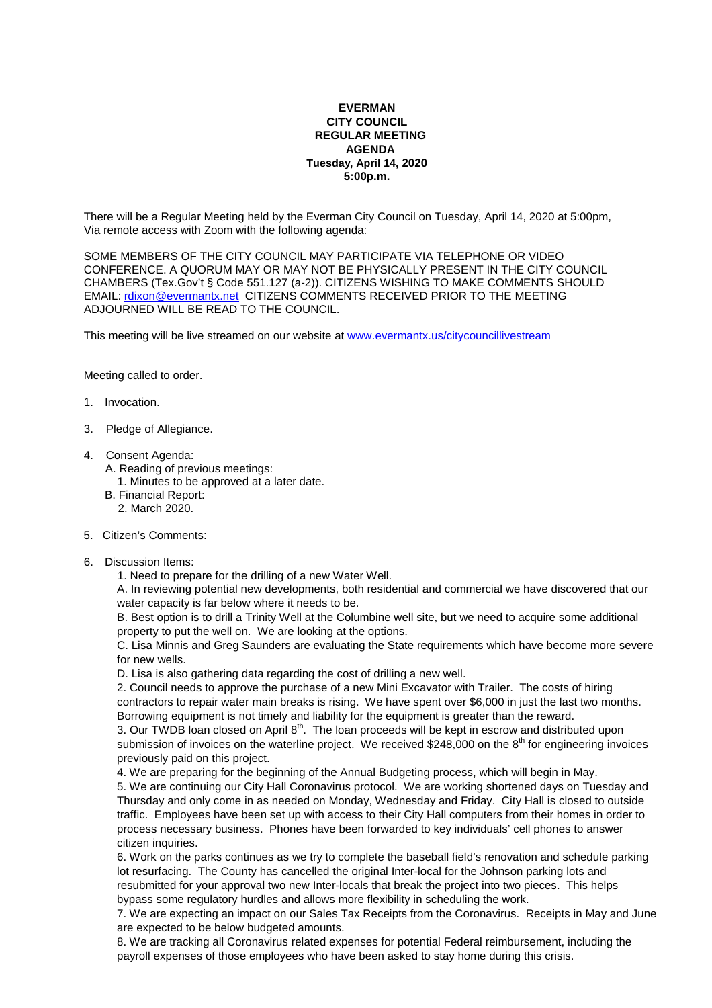## **EVERMAN CITY COUNCIL REGULAR MEETING AGENDA Tuesday, April 14, 2020 5:00p.m.**

There will be a Regular Meeting held by the Everman City Council on Tuesday, April 14, 2020 at 5:00pm, Via remote access with Zoom with the following agenda:

SOME MEMBERS OF THE CITY COUNCIL MAY PARTICIPATE VIA TELEPHONE OR VIDEO CONFERENCE. A QUORUM MAY OR MAY NOT BE PHYSICALLY PRESENT IN THE CITY COUNCIL CHAMBERS (Tex.Gov't § Code 551.127 (a-2)). CITIZENS WISHING TO MAKE COMMENTS SHOULD EMAIL: rdixon@evermantx.net CITIZENS COMMENTS RECEIVED PRIOR TO THE MEETING ADJOURNED WILL BE READ TO THE COUNCIL.

This meeting will be live streamed on our website at www.evermantx.us/citycouncillivestream

Meeting called to order.

- 1. Invocation.
- 3. Pledge of Allegiance.
- 4. Consent Agenda:
	- A. Reading of previous meetings:
	- 1. Minutes to be approved at a later date.
	- B. Financial Report:
		- 2. March 2020.
- 5. Citizen's Comments:
- 6. Discussion Items:

1. Need to prepare for the drilling of a new Water Well.

A. In reviewing potential new developments, both residential and commercial we have discovered that our water capacity is far below where it needs to be.

B. Best option is to drill a Trinity Well at the Columbine well site, but we need to acquire some additional property to put the well on. We are looking at the options.

C. Lisa Minnis and Greg Saunders are evaluating the State requirements which have become more severe for new wells.

D. Lisa is also gathering data regarding the cost of drilling a new well.

2. Council needs to approve the purchase of a new Mini Excavator with Trailer. The costs of hiring contractors to repair water main breaks is rising. We have spent over \$6,000 in just the last two months. Borrowing equipment is not timely and liability for the equipment is greater than the reward.

3. Our TWDB loan closed on April  $8<sup>th</sup>$ . The loan proceeds will be kept in escrow and distributed upon submission of invoices on the waterline project. We received \$248,000 on the  $8<sup>th</sup>$  for engineering invoices previously paid on this project.

4. We are preparing for the beginning of the Annual Budgeting process, which will begin in May.

5. We are continuing our City Hall Coronavirus protocol. We are working shortened days on Tuesday and Thursday and only come in as needed on Monday, Wednesday and Friday. City Hall is closed to outside traffic. Employees have been set up with access to their City Hall computers from their homes in order to process necessary business. Phones have been forwarded to key individuals' cell phones to answer citizen inquiries.

6. Work on the parks continues as we try to complete the baseball field's renovation and schedule parking lot resurfacing. The County has cancelled the original Inter-local for the Johnson parking lots and resubmitted for your approval two new Inter-locals that break the project into two pieces. This helps bypass some regulatory hurdles and allows more flexibility in scheduling the work.

7. We are expecting an impact on our Sales Tax Receipts from the Coronavirus. Receipts in May and June are expected to be below budgeted amounts.

8. We are tracking all Coronavirus related expenses for potential Federal reimbursement, including the payroll expenses of those employees who have been asked to stay home during this crisis.